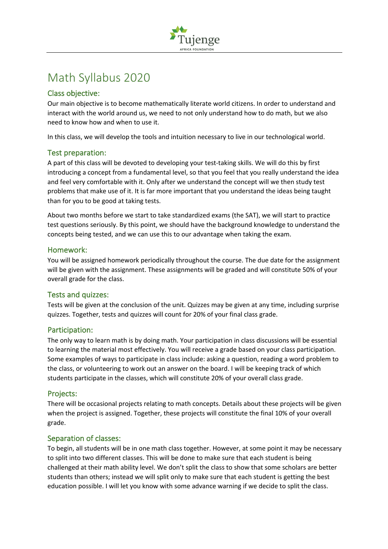

# Math Syllabus 2020

## Class objective:

Our main objective is to become mathematically literate world citizens. In order to understand and interact with the world around us, we need to not only understand how to do math, but we also need to know how and when to use it.

In this class, we will develop the tools and intuition necessary to live in our technological world.

## Test preparation:

A part of this class will be devoted to developing your test-taking skills. We will do this by first introducing a concept from a fundamental level, so that you feel that you really understand the idea and feel very comfortable with it. Only after we understand the concept will we then study test problems that make use of it. It is far more important that you understand the ideas being taught than for you to be good at taking tests.

About two months before we start to take standardized exams (the SAT), we will start to practice test questions seriously. By this point, we should have the background knowledge to understand the concepts being tested, and we can use this to our advantage when taking the exam.

## Homework:

You will be assigned homework periodically throughout the course. The due date for the assignment will be given with the assignment. These assignments will be graded and will constitute 50% of your overall grade for the class.

## Tests and quizzes:

Tests will be given at the conclusion of the unit. Quizzes may be given at any time, including surprise quizzes. Together, tests and quizzes will count for 20% of your final class grade.

## Participation:

The only way to learn math is by doing math. Your participation in class discussions will be essential to learning the material most effectively. You will receive a grade based on your class participation. Some examples of ways to participate in class include: asking a question, reading a word problem to the class, or volunteering to work out an answer on the board. I will be keeping track of which students participate in the classes, which will constitute 20% of your overall class grade.

## Projects:

There will be occasional projects relating to math concepts. Details about these projects will be given when the project is assigned. Together, these projects will constitute the final 10% of your overall grade.

## Separation of classes:

To begin, all students will be in one math class together. However, at some point it may be necessary to split into two different classes. This will be done to make sure that each student is being challenged at their math ability level. We don't split the class to show that some scholars are better students than others; instead we will split only to make sure that each student is getting the best education possible. I will let you know with some advance warning if we decide to split the class.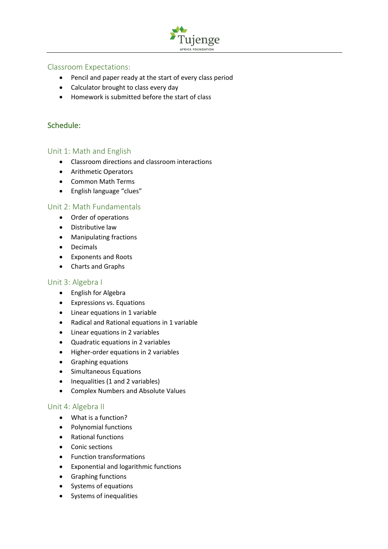

## Classroom Expectations:

- Pencil and paper ready at the start of every class period
- Calculator brought to class every day
- Homework is submitted before the start of class

## Schedule:

## Unit 1: Math and English

- Classroom directions and classroom interactions
- Arithmetic Operators
- Common Math Terms
- English language "clues"

## Unit 2: Math Fundamentals

- Order of operations
- Distributive law
- Manipulating fractions
- Decimals
- Exponents and Roots
- Charts and Graphs

## Unit 3: Algebra I

- English for Algebra
- Expressions vs. Equations
- Linear equations in 1 variable
- Radical and Rational equations in 1 variable
- Linear equations in 2 variables
- Quadratic equations in 2 variables
- Higher-order equations in 2 variables
- Graphing equations
- Simultaneous Equations
- Inequalities (1 and 2 variables)
- Complex Numbers and Absolute Values

## Unit 4: Algebra II

- What is a function?
- Polynomial functions
- Rational functions
- Conic sections
- Function transformations
- Exponential and logarithmic functions
- Graphing functions
- Systems of equations
- Systems of inequalities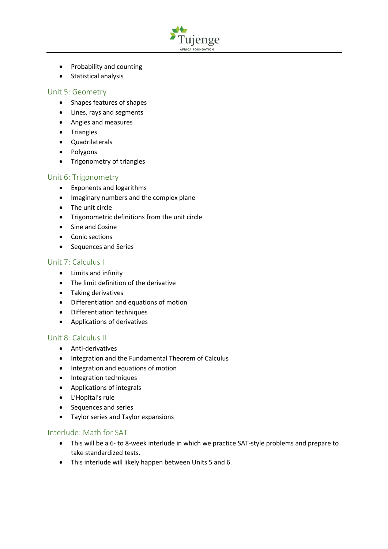

- Probability and counting
- Statistical analysis

## Unit 5: Geometry

- Shapes features of shapes
- Lines, rays and segments
- Angles and measures
- Triangles
- Quadrilaterals
- Polygons
- Trigonometry of triangles

## Unit 6: Trigonometry

- Exponents and logarithms
- Imaginary numbers and the complex plane
- The unit circle
- Trigonometric definitions from the unit circle
- Sine and Cosine
- Conic sections
- Sequences and Series

## Unit 7: Calculus I

- Limits and infinity
- The limit definition of the derivative
- Taking derivatives
- Differentiation and equations of motion
- Differentiation techniques
- Applications of derivatives

## Unit 8: Calculus II

- Anti-derivatives
- Integration and the Fundamental Theorem of Calculus
- Integration and equations of motion
- Integration techniques
- Applications of integrals
- L'Hopital's rule
- Sequences and series
- Taylor series and Taylor expansions

## Interlude: Math for SAT

- This will be a 6- to 8-week interlude in which we practice SAT-style problems and prepare to take standardized tests.
- This interlude will likely happen between Units 5 and 6.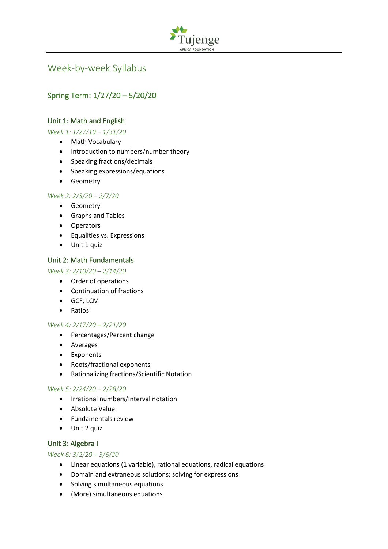

## Week-by-week Syllabus

## Spring Term: 1/27/20 – 5/20/20

## Unit 1: Math and English

*Week 1: 1/27/19 – 1/31/20*

- Math Vocabulary
- Introduction to numbers/number theory
- Speaking fractions/decimals
- Speaking expressions/equations
- Geometry

#### *Week 2: 2/3/20 – 2/7/20*

- Geometry
- Graphs and Tables
- Operators
- Equalities vs. Expressions
- Unit 1 quiz

#### Unit 2: Math Fundamentals

#### *Week 3: 2/10/20 – 2/14/20*

- Order of operations
- Continuation of fractions
- GCF, LCM
- Ratios

#### *Week 4: 2/17/20 – 2/21/20*

- Percentages/Percent change
- Averages
- Exponents
- Roots/fractional exponents
- Rationalizing fractions/Scientific Notation

## *Week 5: 2/24/20 – 2/28/20*

- Irrational numbers/Interval notation
- Absolute Value
- Fundamentals review
- Unit 2 quiz

## Unit 3: Algebra I

#### *Week 6: 3/2/20 – 3/6/20*

- Linear equations (1 variable), rational equations, radical equations
- Domain and extraneous solutions; solving for expressions
- Solving simultaneous equations
- (More) simultaneous equations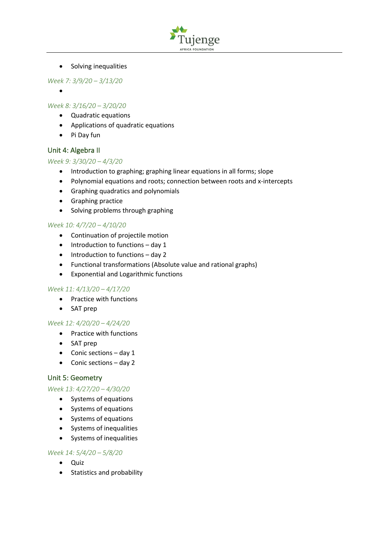

• Solving inequalities

*Week 7: 3/9/20 – 3/13/20*

•

## *Week 8: 3/16/20 – 3/20/20*

- Quadratic equations
- Applications of quadratic equations
- Pi Day fun

#### Unit 4: Algebra II

#### *Week 9: 3/30/20 – 4/3/20*

- Introduction to graphing; graphing linear equations in all forms; slope
- Polynomial equations and roots; connection between roots and x-intercepts
- Graphing quadratics and polynomials
- Graphing practice
- Solving problems through graphing

#### *Week 10: 4/7/20 – 4/10/20*

- Continuation of projectile motion
- Introduction to functions day 1
- Introduction to functions day 2
- Functional transformations (Absolute value and rational graphs)
- Exponential and Logarithmic functions

#### *Week 11: 4/13/20 – 4/17/20*

- Practice with functions
- SAT prep

#### *Week 12: 4/20/20 – 4/24/20*

- Practice with functions
- SAT prep
- Conic sections day 1
- Conic sections day 2

## Unit 5: Geometry

#### *Week 13: 4/27/20 – 4/30/20*

- Systems of equations
- Systems of equations
- Systems of equations
- Systems of inequalities
- Systems of inequalities

#### *Week 14: 5/4/20 – 5/8/20*

- Quiz
- Statistics and probability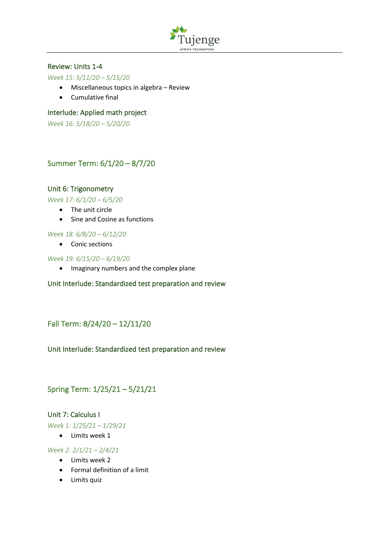

## Review: Units 1-4

#### *Week 15: 5/11/20 – 5/15/20*

- Miscellaneous topics in algebra Review
- Cumulative final

#### Interlude: Applied math project

*Week 16: 5/18/20 – 5/20/20*

## Summer Term: 6/1/20 – 8/7/20

#### Unit 6: Trigonometry

*Week 17: 6/1/20 – 6/5/20*

- The unit circle
- Sine and Cosine as functions

#### *Week 18: 6/8/20 – 6/12/20*

• Conic sections

#### *Week 19: 6/15/20 – 6/19/20*

• Imaginary numbers and the complex plane

#### Unit Interlude: Standardized test preparation and review

## Fall Term: 8/24/20 – 12/11/20

## Unit Interlude: Standardized test preparation and review

## Spring Term: 1/25/21 – 5/21/21

## Unit 7: Calculus I

*Week 1: 1/25/21 – 1/29/21*

• Limits week 1

#### *Week 2: 2/1/21 – 2/4/21*

- Limits week 2
- Formal definition of a limit
- Limits quiz